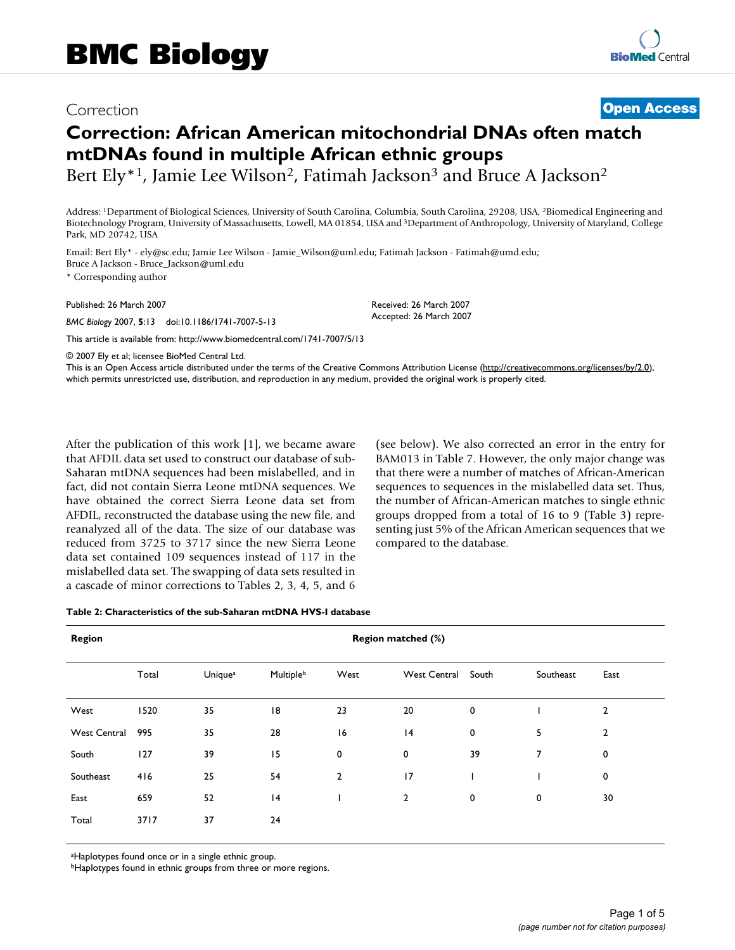# Correction **[Open Access](http://www.biomedcentral.com/info/about/charter/)**

# **Correction: African American mitochondrial DNAs often match mtDNAs found in multiple African ethnic groups**

Bert Ely<sup>\*1</sup>, Jamie Lee Wilson<sup>2</sup>, Fatimah Jackson<sup>3</sup> and Bruce A Jackson<sup>2</sup>

Address: 1Department of Biological Sciences, University of South Carolina, Columbia, South Carolina, 29208, USA, 2Biomedical Engineering and Biotechnology Program, University of Massachusetts, Lowell, MA 01854, USA and 3Department of Anthropology, University of Maryland, College Park, MD 20742, USA

> Received: 26 March 2007 Accepted: 26 March 2007

Email: Bert Ely\* - ely@sc.edu; Jamie Lee Wilson - Jamie\_Wilson@uml.edu; Fatimah Jackson - Fatimah@umd.edu; Bruce A Jackson - Bruce\_Jackson@uml.edu

\* Corresponding author

Published: 26 March 2007

*BMC Biology* 2007, **5**:13 doi:10.1186/1741-7007-5-13

[This article is available from: http://www.biomedcentral.com/1741-7007/5/13](http://www.biomedcentral.com/1741-7007/5/13)

© 2007 Ely et al; licensee BioMed Central Ltd.

This is an Open Access article distributed under the terms of the Creative Commons Attribution License [\(http://creativecommons.org/licenses/by/2.0\)](http://creativecommons.org/licenses/by/2.0), which permits unrestricted use, distribution, and reproduction in any medium, provided the original work is properly cited.

After the publication of this work [1], we became aware that AFDIL data set used to construct our database of sub-Saharan mtDNA sequences had been mislabelled, and in fact, did not contain Sierra Leone mtDNA sequences. We have obtained the correct Sierra Leone data set from AFDIL, reconstructed the database using the new file, and reanalyzed all of the data. The size of our database was reduced from 3725 to 3717 since the new Sierra Leone data set contained 109 sequences instead of 117 in the mislabelled data set. The swapping of data sets resulted in a cascade of minor corrections to Tables 2, 3, 4, 5, and 6

(see below). We also corrected an error in the entry for BAM013 in Table 7. However, the only major change was that there were a number of matches of African-American sequences to sequences in the mislabelled data set. Thus, the number of African-American matches to single ethnic groups dropped from a total of 16 to 9 (Table 3) representing just 5% of the African American sequences that we compared to the database.

#### **Table 2: Characteristics of the sub-Saharan mtDNA HVS-I database**

| <b>Region</b>       | <b>Region matched (%)</b> |         |           |                |                     |             |                |                |
|---------------------|---------------------------|---------|-----------|----------------|---------------------|-------------|----------------|----------------|
|                     | Total                     | Uniquea | Multipleb | West           | <b>West Central</b> | South       | Southeast      | East           |
| West                | 1520                      | 35      | 18        | 23             | 20                  | 0           |                | $\overline{2}$ |
| <b>West Central</b> | 995                       | 35      | 28        | 16             | 4                   | 0           | 5              | $\overline{2}$ |
| South               | 127                       | 39      | 15        | 0              | $\mathbf 0$         | 39          | $\overline{7}$ | 0              |
| Southeast           | 416                       | 25      | 54        | $\overline{2}$ | 17                  |             |                | $\mathbf 0$    |
| East                | 659                       | 52      | 4         |                | $\overline{2}$      | $\mathbf 0$ | 0              | 30             |
| Total               | 3717                      | 37      | 24        |                |                     |             |                |                |
|                     |                           |         |           |                |                     |             |                |                |

aHaplotypes found once or in a single ethnic group.

**bHaplotypes found in ethnic groups from three or more regions.**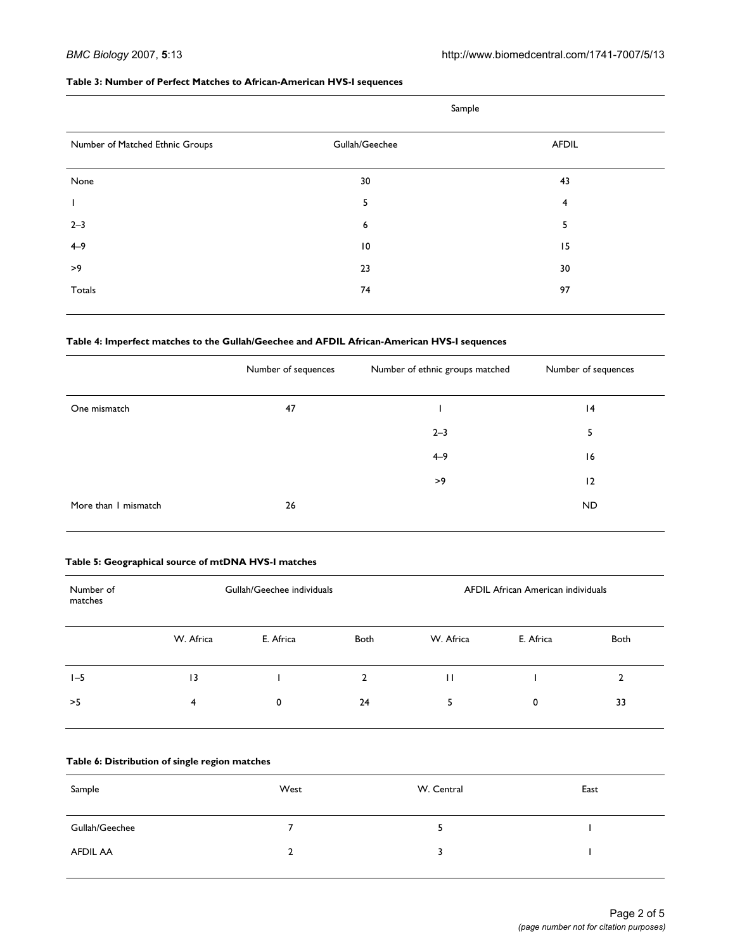#### **Table 3: Number of Perfect Matches to African-American HVS-I sequences**

|                                 | Sample          |              |
|---------------------------------|-----------------|--------------|
| Number of Matched Ethnic Groups | Gullah/Geechee  | <b>AFDIL</b> |
| None                            | 30              | 43           |
|                                 | 5               | 4            |
| $2 - 3$                         | 6               | 5            |
| $4 - 9$                         | $\overline{10}$ | 15           |
| >9                              | 23              | 30           |
| Totals                          | 74              | 97           |
|                                 |                 |              |

# **Table 4: Imperfect matches to the Gullah/Geechee and AFDIL African-American HVS-I sequences**

|                      | Number of sequences | Number of ethnic groups matched | Number of sequences |
|----------------------|---------------------|---------------------------------|---------------------|
| One mismatch         | 47                  |                                 | 4                   |
|                      |                     | $2 - 3$                         | 5                   |
|                      |                     | $4 - 9$                         | 16                  |
|                      |                     | >9                              | 12                  |
| More than I mismatch | 26                  |                                 | ND.                 |

# **Table 5: Geographical source of mtDNA HVS-I matches**

| Number of<br>matches |           | Gullah/Geechee individuals |              |           | AFDIL African American individuals |      |  |
|----------------------|-----------|----------------------------|--------------|-----------|------------------------------------|------|--|
|                      | W. Africa | E. Africa                  | Both         | W. Africa | E. Africa                          | Both |  |
| $1-5$                | $\vert$ 3 |                            | $\mathbf{2}$ | $\perp$   |                                    | ົ    |  |
| >5                   | 4         | 0                          | 24           |           | 0                                  | 33   |  |

# **Table 6: Distribution of single region matches**

| Sample         | West     | W. Central | East |
|----------------|----------|------------|------|
| Gullah/Geechee |          |            |      |
| AFDIL AA       | <b>L</b> |            |      |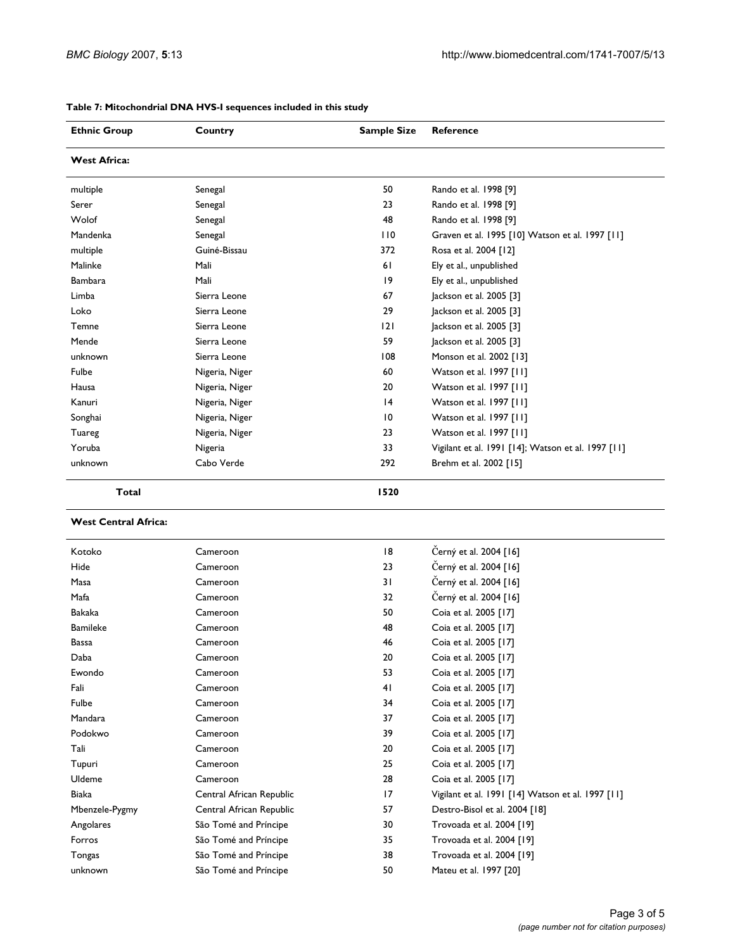| <b>Ethnic Group</b>         | Country        | <b>Sample Size</b> | Reference                                          |
|-----------------------------|----------------|--------------------|----------------------------------------------------|
| <b>West Africa:</b>         |                |                    |                                                    |
| multiple                    | Senegal        | 50                 | Rando et al. 1998 [9]                              |
| Serer                       | Senegal        | 23                 | Rando et al. 1998 [9]                              |
| Wolof                       | Senegal        | 48                 | Rando et al. 1998 [9]                              |
| Mandenka                    | Senegal        | 110                | Graven et al. 1995 [10] Watson et al. 1997 [11]    |
| multiple                    | Guiné-Bissau   | 372                | Rosa et al. 2004 [12]                              |
| Malinke                     | Mali           | 61                 | Ely et al., unpublished                            |
| Bambara                     | Mali           | 9                  | Ely et al., unpublished                            |
| Limba                       | Sierra Leone   | 67                 | Jackson et al. 2005 [3]                            |
| Loko                        | Sierra Leone   | 29                 | Jackson et al. 2005 [3]                            |
| Temne                       | Sierra Leone   | 2                  | Jackson et al. 2005 [3]                            |
| Mende                       | Sierra Leone   | 59                 | Jackson et al. 2005 [3]                            |
| unknown                     | Sierra Leone   | 108                | Monson et al. 2002 [13]                            |
| Fulbe                       | Nigeria, Niger | 60                 | Watson et al. 1997 [11]                            |
| Hausa                       | Nigeria, Niger | 20                 | Watson et al. 1997 [11]                            |
| Kanuri                      | Nigeria, Niger | 4                  | Watson et al. 1997 [11]                            |
| Songhai                     | Nigeria, Niger | 10                 | Watson et al. 1997 [11]                            |
| Tuareg                      | Nigeria, Niger | 23                 | Watson et al. 1997 [11]                            |
| Yoruba                      | Nigeria        | 33                 | Vigilant et al. 1991 [14]; Watson et al. 1997 [11] |
| unknown                     | Cabo Verde     | 292                | Brehm et al. 2002 [15]                             |
| <b>Total</b>                |                | 1520               |                                                    |
| <b>West Central Africa:</b> |                |                    |                                                    |
| Kotoko                      | Cameroon       | 8                  | Černý et al. 2004 [16]                             |
| Hide                        | Cameroon       | 23                 | Černý et al. 2004 [16]                             |
| Masa                        | Cameroon       | 31                 | Černý et al. 2004 [16]                             |

**Table 7: Mitochondrial DNA HVS-I sequences included in this study**

| Kotoko          | Cameroon                 | 8  | Černý et al. 2004 [16]                            |
|-----------------|--------------------------|----|---------------------------------------------------|
| Hide            | Cameroon                 | 23 | Černý et al. 2004 [16]                            |
| Masa            | Cameroon                 | 31 | Černý et al. 2004 [16]                            |
| Mafa            | Cameroon                 | 32 | Černý et al. 2004 [16]                            |
| <b>Bakaka</b>   | Cameroon                 | 50 | Coia et al. 2005 [17]                             |
| <b>Bamileke</b> | Cameroon                 | 48 | Coia et al. 2005 [17]                             |
| Bassa           | Cameroon                 | 46 | Coia et al. 2005 [17]                             |
| Daba            | Cameroon                 | 20 | Coia et al. 2005 [17]                             |
| Ewondo          | Cameroon                 | 53 | Coia et al. 2005 [17]                             |
| Fali            | Cameroon                 | 41 | Coia et al. 2005 [17]                             |
| Fulbe           | Cameroon                 | 34 | Coia et al. 2005 [17]                             |
| Mandara         | Cameroon                 | 37 | Coia et al. 2005 [17]                             |
| Podokwo         | Cameroon                 | 39 | Coia et al. 2005 [17]                             |
| Tali            | Cameroon                 | 20 | Coia et al. 2005 [17]                             |
| Tupuri          | Cameroon                 | 25 | Coia et al. 2005 [17]                             |
| Uldeme          | Cameroon                 | 28 | Coia et al. 2005 [17]                             |
| <b>Biaka</b>    | Central African Republic | 17 | Vigilant et al. 1991 [14] Watson et al. 1997 [11] |
| Mbenzele-Pygmy  | Central African Republic | 57 | Destro-Bisol et al. 2004 [18]                     |
| Angolares       | São Tomé and Príncipe    | 30 | Trovoada et al. 2004 [19]                         |
| Forros          | São Tomé and Príncipe    | 35 | Trovoada et al. 2004 [19]                         |
| Tongas          | São Tomé and Príncipe    | 38 | Trovoada et al. 2004 [19]                         |
| unknown         | São Tomé and Príncipe    | 50 | Mateu et al. 1997 [20]                            |
|                 |                          |    |                                                   |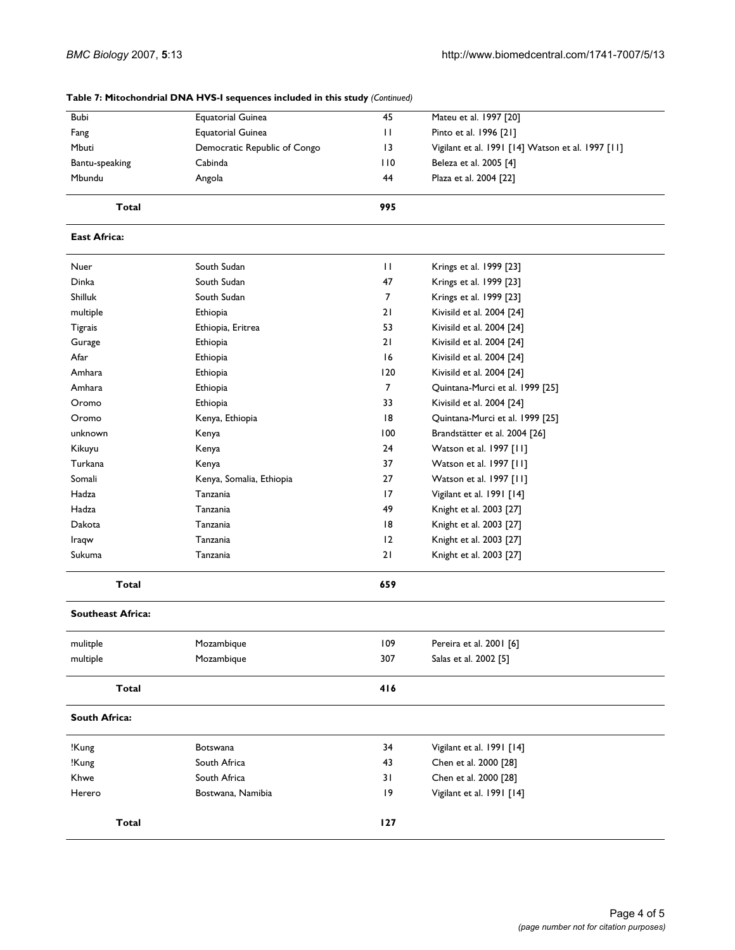| Bubi                      | <b>Equatorial Guinea</b>     | 45           | Mateu et al. 1997 [20]                            |
|---------------------------|------------------------------|--------------|---------------------------------------------------|
| Fang                      | <b>Equatorial Guinea</b>     | $\mathbf{H}$ | Pinto et al. 1996 [21]                            |
| Mbuti                     | Democratic Republic of Congo | 13           | Vigilant et al. 1991 [14] Watson et al. 1997 [11] |
| Cabinda<br>Bantu-speaking |                              | 110          | Beleza et al. 2005 [4]                            |
| Mbundu                    | Angola                       | 44           | Plaza et al. 2004 [22]                            |
| <b>Total</b>              |                              | 995          |                                                   |
| <b>East Africa:</b>       |                              |              |                                                   |
| Nuer                      | South Sudan                  | $\mathbf{H}$ | Krings et al. 1999 [23]                           |
| Dinka                     | South Sudan                  | 47           | Krings et al. 1999 [23]                           |
| Shilluk                   | South Sudan                  | 7            | Krings et al. 1999 [23]                           |
| multiple                  | Ethiopia                     | 21           | Kivisild et al. 2004 [24]                         |
| Tigrais                   | Ethiopia, Eritrea            | 53           | Kivisild et al. 2004 [24]                         |
| Gurage                    | Ethiopia                     | 21           | Kivisild et al. 2004 [24]                         |
| Afar                      | Ethiopia                     | 16           | Kivisild et al. 2004 [24]                         |
| Amhara                    | Ethiopia                     | 120          | Kivisild et al. 2004 [24]                         |
| Amhara                    | Ethiopia                     | 7            | Quintana-Murci et al. 1999 [25]                   |
| Oromo                     | Ethiopia                     | 33           | Kivisild et al. 2004 [24]                         |
| Oromo                     | Kenya, Ethiopia              | 8            | Quintana-Murci et al. 1999 [25]                   |
| unknown                   | Kenya                        | 100          | Brandstätter et al. 2004 [26]                     |
| Kikuyu                    | Kenya                        | 24           | Watson et al. 1997 [11]                           |
| Turkana                   | Kenya                        | 37           | Watson et al. 1997 [11]                           |
| Somali                    | Kenya, Somalia, Ethiopia     | 27           | Watson et al. 1997 [11]                           |
| Hadza                     | Tanzania                     | 17           | Vigilant et al. 1991 [14]                         |
| Hadza                     | Tanzania                     | 49           | Knight et al. 2003 [27]                           |
| Dakota                    | Tanzania                     | 18           | Knight et al. 2003 [27]                           |
| Iraqw                     | Tanzania                     | 12           | Knight et al. 2003 [27]                           |
| Sukuma                    | Tanzania                     | 21           | Knight et al. 2003 [27]                           |
| Total                     |                              | 659          |                                                   |
| <b>Southeast Africa:</b>  |                              |              |                                                   |
| mulitple                  | Mozambique                   | 109          | Pereira et al. 2001 [6]                           |
| multiple                  | Mozambique                   | 307          | Salas et al. 2002 [5]                             |
| Total                     |                              | 416          |                                                   |
| <b>South Africa:</b>      |                              |              |                                                   |
| !Kung                     | Botswana                     | 34           | Vigilant et al. 1991 [14]                         |
| !Kung                     | South Africa                 | 43           | Chen et al. 2000 [28]                             |
| Khwe                      | South Africa                 | 31           | Chen et al. 2000 [28]                             |
| Herero                    | Bostwana, Namibia            | 9            | Vigilant et al. 1991 [14]                         |
| Total                     |                              | 127          |                                                   |

#### **Table 7: Mitochondrial DNA HVS-I sequences included in this study** *(Continued)*